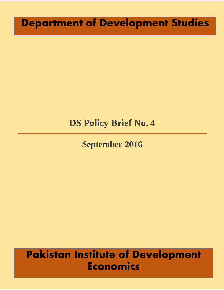# **Department of Development Studies**

## **DS Policy Brief No. 4**

## **September 2016**

# **Pakistan Institute of Development Economics**